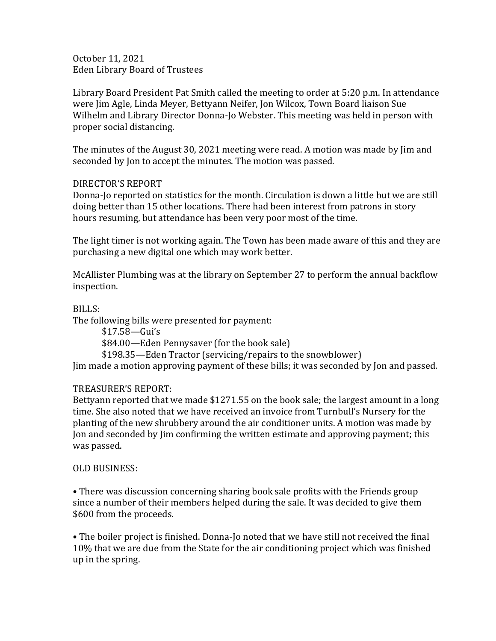October 11, 2021 Eden Library Board of Trustees

Library Board President Pat Smith called the meeting to order at 5:20 p.m. In attendance were Jim Agle, Linda Meyer, Bettyann Neifer, Jon Wilcox, Town Board liaison Sue Wilhelm and Library Director Donna-Jo Webster. This meeting was held in person with proper social distancing.

The minutes of the August 30, 2021 meeting were read. A motion was made by Jim and seconded by Jon to accept the minutes. The motion was passed.

## DIRECTOR'S REPORT

Donna-Jo reported on statistics for the month. Circulation is down a little but we are still doing better than 15 other locations. There had been interest from patrons in story hours resuming, but attendance has been very poor most of the time.

The light timer is not working again. The Town has been made aware of this and they are purchasing a new digital one which may work better.

McAllister Plumbing was at the library on September 27 to perform the annual backflow inspection.

BILLS:

The following bills were presented for payment:

\$17.58—Gui's \$84.00—Eden Pennysaver (for the book sale) \$198.35—Eden Tractor (servicing/repairs to the snowblower) Jim made a motion approving payment of these bills; it was seconded by Jon and passed.

## TREASURER'S REPORT:

Bettyann reported that we made \$1271.55 on the book sale; the largest amount in a long time. She also noted that we have received an invoice from Turnbull's Nursery for the planting of the new shrubbery around the air conditioner units. A motion was made by Jon and seconded by Jim confirming the written estimate and approving payment; this was passed.

## OLD BUSINESS:

• There was discussion concerning sharing book sale profits with the Friends group since a number of their members helped during the sale. It was decided to give them \$600 from the proceeds.

• The boiler project is finished. Donna-Jo noted that we have still not received the final 10% that we are due from the State for the air conditioning project which was finished up in the spring.